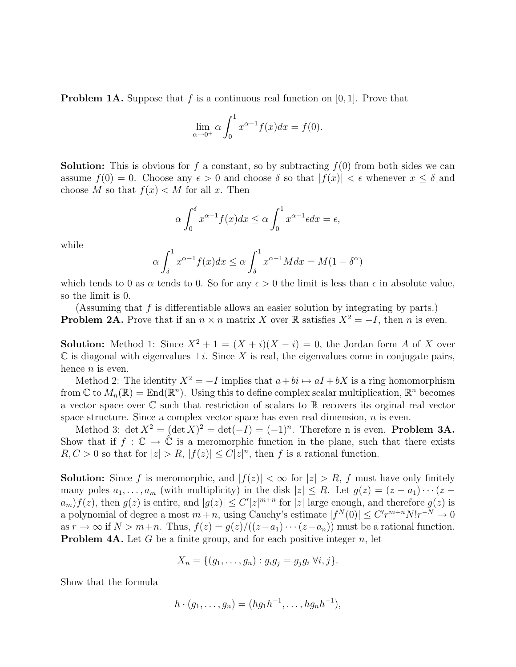**Problem 1A.** Suppose that f is a continuous real function on  $[0, 1]$ . Prove that

$$
\lim_{\alpha \to 0^+} \alpha \int_0^1 x^{\alpha - 1} f(x) dx = f(0).
$$

**Solution:** This is obvious for f a constant, so by subtracting  $f(0)$  from both sides we can assume  $f(0) = 0$ . Choose any  $\epsilon > 0$  and choose  $\delta$  so that  $|f(x)| < \epsilon$  whenever  $x \leq \delta$  and choose M so that  $f(x) < M$  for all x. Then

$$
\alpha \int_0^\delta x^{\alpha-1} f(x) dx \le \alpha \int_0^1 x^{\alpha-1} \epsilon dx = \epsilon,
$$

while

$$
\alpha \int_{\delta}^{1} x^{\alpha - 1} f(x) dx \le \alpha \int_{\delta}^{1} x^{\alpha - 1} M dx = M(1 - \delta^{\alpha})
$$

which tends to 0 as  $\alpha$  tends to 0. So for any  $\epsilon > 0$  the limit is less than  $\epsilon$  in absolute value, so the limit is 0.

(Assuming that f is differentiable allows an easier solution by integrating by parts.) **Problem 2A.** Prove that if an  $n \times n$  matrix X over R satisfies  $X^2 = -I$ , then n is even.

**Solution:** Method 1: Since  $X^2 + 1 = (X + i)(X - i) = 0$ , the Jordan form A of X over  $\mathbb C$  is diagonal with eigenvalues  $\pm i$ . Since X is real, the eigenvalues come in conjugate pairs, hence  $n$  is even.

Method 2: The identity  $X^2 = -I$  implies that  $a + bi \rightarrow aI + bX$  is a ring homomorphism from  $\mathbb C$  to  $M_n(\mathbb R) = \text{End}(\mathbb R^n)$ . Using this to define complex scalar multiplication,  $\mathbb R^n$  becomes a vector space over  $\mathbb C$  such that restriction of scalars to  $\mathbb R$  recovers its orginal real vector space structure. Since a complex vector space has even real dimension, *n* is even.

Method 3: det  $X^2 = (\det X)^2 = \det(-I) = (-1)^n$ . Therefore n is even. **Problem 3A.** Show that if  $f : \mathbb{C} \to \hat{\mathbb{C}}$  is a meromorphic function in the plane, such that there exists  $R, C > 0$  so that for  $|z| > R$ ,  $|f(z)| \leq C |z|^n$ , then f is a rational function.

**Solution:** Since f is meromorphic, and  $|f(z)| < \infty$  for  $|z| > R$ , f must have only finitely many poles  $a_1, \ldots, a_m$  (with multiplicity) in the disk  $|z| \leq R$ . Let  $g(z) = (z - a_1) \cdots (z - a_n)$  $(a_m) f(z)$ , then  $g(z)$  is entire, and  $|g(z)| \leq C' |z|^{m+n}$  for  $|z|$  large enough, and therefore  $g(z)$  is a polynomial of degree a most  $m + n$ , using Cauchy's estimate  $|f^N(0)| \leq C'r^{m+n}N!r^{-N} \to 0$ as  $r \to \infty$  if  $N > m+n$ . Thus,  $f(z) = \frac{g(z)}{((z-a_1)\cdots(z-a_n))}$  must be a rational function. **Problem 4A.** Let G be a finite group, and for each positive integer  $n$ , let

$$
X_n = \{(g_1,\ldots,g_n) : g_ig_j = g_jg_i \ \forall i,j\}.
$$

Show that the formula

$$
h \cdot (g_1, \ldots, g_n) = (hg_1h^{-1}, \ldots, hg_nh^{-1}),
$$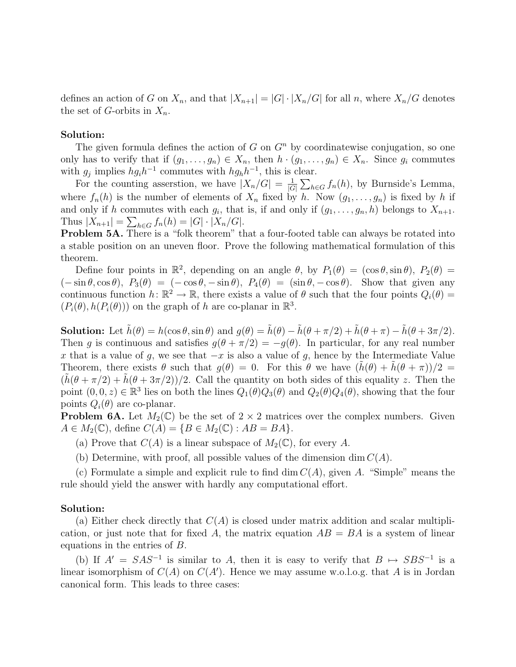defines an action of G on  $X_n$ , and that  $|X_{n+1}| = |G| \cdot |X_n/G|$  for all n, where  $X_n/G$  denotes the set of G-orbits in  $X_n$ .

## Solution:

The given formula defines the action of G on  $G<sup>n</sup>$  by coordinatewise conjugation, so one only has to verify that if  $(g_1, \ldots, g_n) \in X_n$ , then  $h \cdot (g_1, \ldots, g_n) \in X_n$ . Since  $g_i$  commutes with  $g_j$  implies  $hgh^{-1}$  commutes with  $hgh^{-1}$ , this is clear.

For the counting asserstion, we have  $|X_n/G| = \frac{1}{|G|} \sum_{h \in G} f_n(h)$ , by Burnside's Lemma, where  $f_n(h)$  is the number of elements of  $X_n$  fixed by h. Now  $(g_1, \ldots, g_n)$  is fixed by h if and only if h commutes with each  $g_i$ , that is, if and only if  $(g_1, \ldots, g_n, h)$  belongs to  $X_{n+1}$ . Thus  $|X_{n+1}| = \sum_{h \in G} f_n(h) = |G| \cdot |X_n/G|.$ 

Problem 5A. There is a "folk theorem" that a four-footed table can always be rotated into a stable position on an uneven floor. Prove the following mathematical formulation of this theorem.

Define four points in  $\mathbb{R}^2$ , depending on an angle  $\theta$ , by  $P_1(\theta) = (\cos \theta, \sin \theta), P_2(\theta) =$  $(-\sin\theta, \cos\theta), P_3(\theta) = (-\cos\theta, -\sin\theta), P_4(\theta) = (\sin\theta, -\cos\theta).$  Show that given any continuous function  $h: \mathbb{R}^2 \to \mathbb{R}$ , there exists a value of  $\theta$  such that the four points  $Q_i(\theta)$  $(P_i(\theta), h(P_i(\theta)))$  on the graph of h are co-planar in  $\mathbb{R}^3$ .

**Solution:** Let  $\tilde{h}(\theta) = h(\cos \theta, \sin \theta)$  and  $g(\theta) = \tilde{h}(\theta) - \tilde{h}(\theta + \pi/2) + \tilde{h}(\theta + \pi) - \tilde{h}(\theta + 3\pi/2)$ . Then q is continuous and satisfies  $q(\theta + \pi/2) = -q(\theta)$ . In particular, for any real number x that is a value of g, we see that  $-x$  is also a value of g, hence by the Intermediate Value Theorem, there exists  $\theta$  such that  $g(\theta) = 0$ . For this  $\theta$  we have  $(h(\theta) + h(\theta + \pi))/2 =$  $(h(\theta + \pi/2) + h(\theta + 3\pi/2))/2$ . Call the quantity on both sides of this equality z. Then the point  $(0, 0, z) \in \mathbb{R}^3$  lies on both the lines  $Q_1(\theta)Q_3(\theta)$  and  $Q_2(\theta)Q_4(\theta)$ , showing that the four points  $Q_i(\theta)$  are co-planar.

**Problem 6A.** Let  $M_2(\mathbb{C})$  be the set of  $2 \times 2$  matrices over the complex numbers. Given  $A \in M_2(\mathbb{C})$ , define  $C(A) = \{B \in M_2(\mathbb{C}) : AB = BA\}.$ 

(a) Prove that  $C(A)$  is a linear subspace of  $M_2(\mathbb{C})$ , for every A.

(b) Determine, with proof, all possible values of the dimension dim  $C(A)$ .

(c) Formulate a simple and explicit rule to find dim  $C(A)$ , given A. "Simple" means the rule should yield the answer with hardly any computational effort.

## Solution:

(a) Either check directly that  $C(A)$  is closed under matrix addition and scalar multiplication, or just note that for fixed A, the matrix equation  $AB = BA$  is a system of linear equations in the entries of B.

(b) If  $A' = SAS^{-1}$  is similar to A, then it is easy to verify that  $B \mapsto SBS^{-1}$  is a linear isomorphism of  $C(A)$  on  $C(A')$ . Hence we may assume w.o.l.o.g. that A is in Jordan canonical form. This leads to three cases: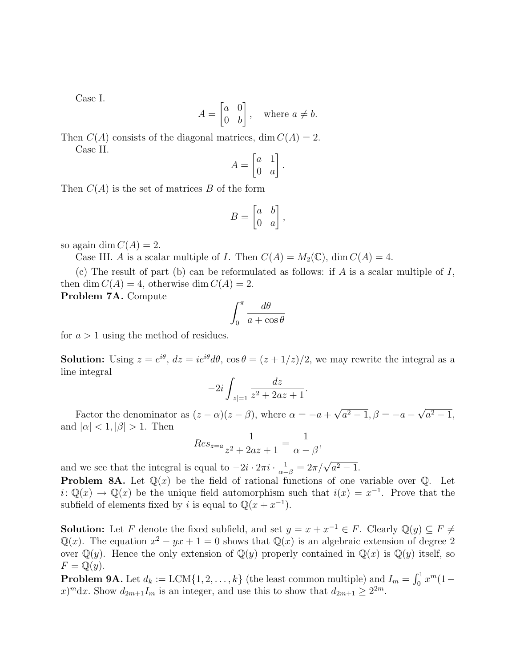Case I.

$$
A = \begin{bmatrix} a & 0 \\ 0 & b \end{bmatrix}, \quad \text{where } a \neq b.
$$

Then  $C(A)$  consists of the diagonal matrices, dim  $C(A) = 2$ . Case II.

$$
A = \begin{bmatrix} a & 1 \\ 0 & a \end{bmatrix}.
$$

Then  $C(A)$  is the set of matrices B of the form

$$
B = \begin{bmatrix} a & b \\ 0 & a \end{bmatrix},
$$

so again dim  $C(A) = 2$ .

Case III. A is a scalar multiple of I. Then  $C(A) = M_2(\mathbb{C})$ , dim  $C(A) = 4$ .

(c) The result of part (b) can be reformulated as follows: if A is a scalar multiple of  $I$ , then dim  $C(A) = 4$ , otherwise dim  $C(A) = 2$ .

Problem 7A. Compute

$$
\int_0^\pi \frac{d\theta}{a + \cos \theta}
$$

for  $a > 1$  using the method of residues.

**Solution:** Using  $z = e^{i\theta}$ ,  $dz = ie^{i\theta}d\theta$ ,  $\cos \theta = (z + 1/z)/2$ , we may rewrite the integral as a line integral

$$
-2i \int_{|z|=1} \frac{dz}{z^2 + 2az + 1}.
$$

Factor the denominator as  $(z - \alpha)(z - \beta)$ , where  $\alpha = -a + \sqrt{a^2 - 1}, \beta = -a - \sqrt{a^2 - 1},$ and  $|\alpha| < 1, |\beta| > 1$ . Then

$$
Res_{z=a} \frac{1}{z^2 + 2az + 1} = \frac{1}{\alpha - \beta},
$$

and we see that the integral is equal to  $-2i \cdot 2\pi i \cdot \frac{1}{\alpha - \beta} = 2\pi/\sqrt{a^2 - 1}$ .

**Problem 8A.** Let  $\mathbb{Q}(x)$  be the field of rational functions of one variable over  $\mathbb{Q}$ . Let  $i: \mathbb{Q}(x) \to \mathbb{Q}(x)$  be the unique field automorphism such that  $i(x) = x^{-1}$ . Prove that the subfield of elements fixed by i is equal to  $\mathbb{Q}(x + x^{-1})$ .

**Solution:** Let F denote the fixed subfield, and set  $y = x + x^{-1} \in F$ . Clearly  $\mathbb{Q}(y) \subseteq F \neq \mathbb{Z}$  $\mathbb{Q}(x)$ . The equation  $x^2 - yx + 1 = 0$  shows that  $\mathbb{Q}(x)$  is an algebraic extension of degree 2 over  $\mathbb{Q}(y)$ . Hence the only extension of  $\mathbb{Q}(y)$  properly contained in  $\mathbb{Q}(x)$  is  $\mathbb{Q}(y)$  itself, so  $F = \mathbb{Q}(y).$ 

**Problem 9A.** Let  $d_k := \text{LCM}\{1, 2, ..., k\}$  (the least common multiple) and  $I_m = \int_0^1 x^m (1-t)^m dt$  $(x)^{m}dx$ . Show  $d_{2m+1}I_m$  is an integer, and use this to show that  $d_{2m+1} \geq 2^{2m}$ .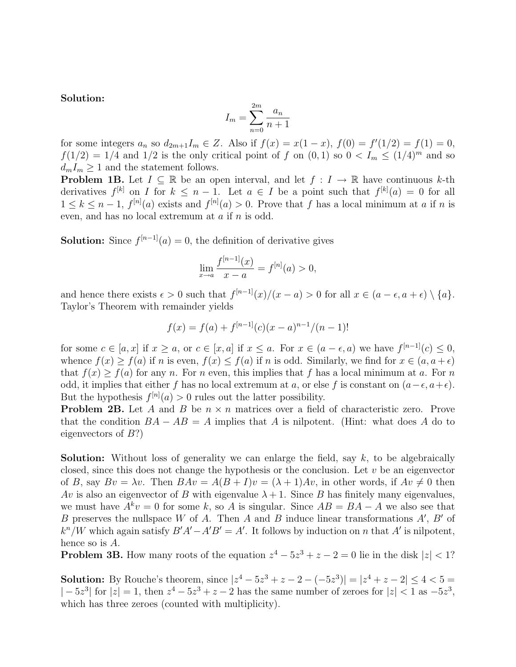Solution:

$$
I_m = \sum_{n=0}^{2m} \frac{a_n}{n+1}
$$

for some integers  $a_n$  so  $d_{2m+1}I_m \in Z$ . Also if  $f(x) = x(1-x)$ ,  $f(0) = f'(1/2) = f(1) = 0$ ,  $f(1/2) = 1/4$  and  $1/2$  is the only critical point of f on  $(0, 1)$  so  $0 < I_m \le (1/4)^m$  and so  $d_m I_m \geq 1$  and the statement follows.

**Problem 1B.** Let  $I \subseteq \mathbb{R}$  be an open interval, and let  $f : I \to \mathbb{R}$  have continuous k-th derivatives  $f^{[k]}$  on I for  $k \leq n-1$ . Let  $a \in I$  be a point such that  $f^{[k]}(a) = 0$  for all  $1 \leq k \leq n-1$ ,  $f^{[n]}(a)$  exists and  $f^{[n]}(a) > 0$ . Prove that f has a local minimum at a if n is even, and has no local extremum at a if n is odd.

**Solution:** Since  $f^{[n-1]}(a) = 0$ , the definition of derivative gives

$$
\lim_{x \to a} \frac{f^{[n-1]}(x)}{x - a} = f^{[n]}(a) > 0,
$$

and hence there exists  $\epsilon > 0$  such that  $f^{[n-1]}(x)/(x - a) > 0$  for all  $x \in (a - \epsilon, a + \epsilon) \setminus \{a\}.$ Taylor's Theorem with remainder yields

$$
f(x) = f(a) + f[n-1](c)(x - a)n-1/(n - 1)!
$$

for some  $c \in [a, x]$  if  $x \ge a$ , or  $c \in [x, a]$  if  $x \le a$ . For  $x \in (a - \epsilon, a)$  we have  $f^{[n-1]}(c) \le 0$ , whence  $f(x) \ge f(a)$  if n is even,  $f(x) \le f(a)$  if n is odd. Similarly, we find for  $x \in (a, a + \epsilon)$ that  $f(x) > f(a)$  for any n. For n even, this implies that f has a local minimum at a. For n odd, it implies that either f has no local extremum at a, or else f is constant on  $(a-\epsilon, a+\epsilon)$ . But the hypothesis  $f^{[n]}(a) > 0$  rules out the latter possibility.

**Problem 2B.** Let A and B be  $n \times n$  matrices over a field of characteristic zero. Prove that the condition  $BA - AB = A$  implies that A is nilpotent. (Hint: what does A do to eigenvectors of B?)

**Solution:** Without loss of generality we can enlarge the field, say  $k$ , to be algebraically closed, since this does not change the hypothesis or the conclusion. Let  $v$  be an eigenvector of B, say  $Bv = \lambda v$ . Then  $BAv = A(B+I)v = (\lambda + 1)Av$ , in other words, if  $Av \neq 0$  then Av is also an eigenvector of B with eigenvalue  $\lambda + 1$ . Since B has finitely many eigenvalues, we must have  $A^k v = 0$  for some k, so A is singular. Since  $AB = BA - A$  we also see that B preserves the nullspace W of A. Then A and B induce linear transformations  $A'$ ,  $B'$  of  $k^{n}/W$  which again satisfy  $B'A' - A'B' = A'$ . It follows by induction on n that A' is nilpotent, hence so is A.

**Problem 3B.** How many roots of the equation  $z^4 - 5z^3 + z - 2 = 0$  lie in the disk  $|z| < 1$ ?

**Solution:** By Rouche's theorem, since  $|z^4 - 5z^3 + z - 2 - (-5z^3)| = |z^4 + z - 2| \le 4 < 5 =$  $|-5z^3|$  for  $|z|=1$ , then  $z^4-5z^3+z-2$  has the same number of zeroes for  $|z|<1$  as  $-5z^3$ . which has three zeroes (counted with multiplicity).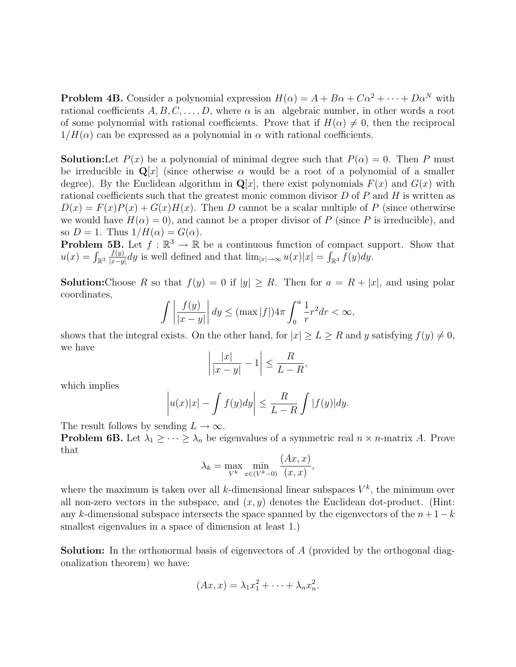**Problem 4B.** Consider a polynomial expression  $H(\alpha) = A + B\alpha + C\alpha^2 + \cdots + D\alpha^N$  with rational coefficients  $A, B, C, \ldots, D$ , where  $\alpha$  is an algebraic number, in other words a root of some polynomial with rational coefficients. Prove that if  $H(\alpha) \neq 0$ , then the reciprocal  $1/H(\alpha)$  can be expressed as a polynomial in  $\alpha$  with rational coefficients.

**Solution:**Let  $P(x)$  be a polynomial of minimal degree such that  $P(\alpha) = 0$ . Then P must be irreducible in  $\mathbf{Q}[x]$  (since otherwise  $\alpha$  would be a root of a polynomial of a smaller degree). By the Euclidean algorithm in  $\mathbf{Q}[x]$ , there exist polynomials  $F(x)$  and  $G(x)$  with rational coefficients such that the greatest monic common divisor  $D$  of  $P$  and  $H$  is written as  $D(x) = F(x)P(x) + G(x)H(x)$ . Then D cannot be a scalar multiple of P (since otherwirse we would have  $H(\alpha) = 0$ , and cannot be a proper divisor of P (since P is irreducible), and so  $D = 1$ . Thus  $1/H(\alpha) = G(\alpha)$ .

**Problem 5B.** Let  $f : \mathbb{R}^3 \to \mathbb{R}$  be a continuous function of compact support. Show that  $u(x) = \int_{\mathbb{R}^3}$  $f(y)$  $\frac{f(y)}{|x-y|}dy$  is well defined and that  $\lim_{|x|\to\infty} u(x)|x| = \int_{\mathbb{R}^3} \bar{f}(y)dy$ .

**Solution:**Choose R so that  $f(y) = 0$  if  $|y| \ge R$ . Then for  $a = R + |x|$ , and using polar coordinates,

$$
\int \left| \frac{f(y)}{|x-y|} \right| dy \le (\max |f|) 4\pi \int_0^a \frac{1}{r} r^2 dr < \infty,
$$

shows that the integral exists. On the other hand, for  $|x| \ge L \ge R$  and y satisfying  $f(y) \ne 0$ , we have

$$
\left|\frac{|x|}{|x-y|} - 1\right| \le \frac{R}{L-R},
$$

which implies

$$
\left| u(x)|x| - \int f(y)dy \right| \leq \frac{R}{L-R} \int |f(y)|dy.
$$

The result follows by sending  $L \to \infty$ .

**Problem 6B.** Let  $\lambda_1 \geq \cdots \geq \lambda_n$  be eigenvalues of a symmetric real  $n \times n$ -matrix A. Prove that

$$
\lambda_k = \max_{V^k} \min_{x \in (V^k - 0)} \frac{(Ax, x)}{(x, x)},
$$

where the maximum is taken over all k-dimensional linear subspaces  $V^k$ , the minimum over all non-zero vectors in the subspace, and  $(x, y)$  denotes the Euclidean dot-product. (Hint: any k-dimensional subspace intersects the space spanned by the eigenvectors of the  $n+1-k$ smallest eigenvalues in a space of dimension at least 1.)

Solution: In the orthonormal basis of eigenvectors of A (provided by the orthogonal diagonalization theorem) we have:

$$
(Ax, x) = \lambda_1 x_1^2 + \dots + \lambda_n x_n^2.
$$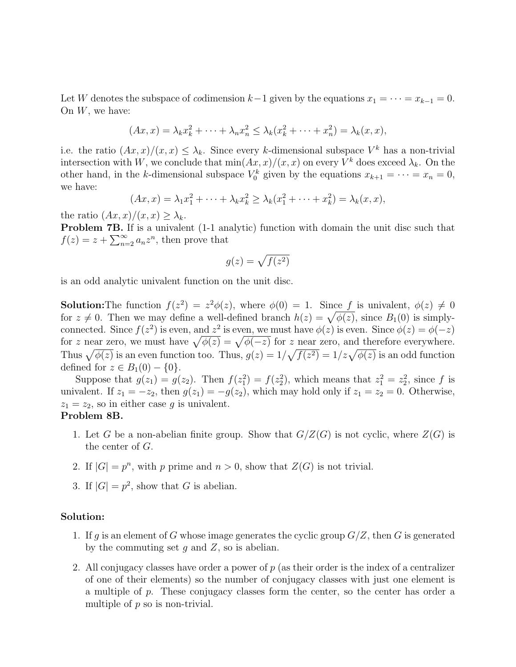Let W denotes the subspace of *co*dimension  $k-1$  given by the equations  $x_1 = \cdots = x_{k-1} = 0$ . On  $W$ , we have:

$$
(Ax,x) = \lambda_k x_k^2 + \dots + \lambda_n x_n^2 \leq \lambda_k (x_k^2 + \dots + x_n^2) = \lambda_k (x,x),
$$

i.e. the ratio  $(Ax, x)/(x, x) \leq \lambda_k$ . Since every k-dimensional subspace  $V^k$  has a non-trivial intersection with W, we conclude that  $\min(Ax, x)/(x, x)$  on every  $V^k$  does exceed  $\lambda_k$ . On the other hand, in the k-dimensional subspace  $V_0^k$  given by the equations  $x_{k+1} = \cdots = x_n = 0$ , we have:

$$
(Ax,x) = \lambda_1 x_1^2 + \dots + \lambda_k x_k^2 \ge \lambda_k (x_1^2 + \dots + x_k^2) = \lambda_k (x,x),
$$

the ratio  $(Ax, x)/(x, x) \geq \lambda_k$ .

Problem 7B. If is a univalent (1-1 analytic) function with domain the unit disc such that  $f(z) = z + \sum_{n=2}^{\infty} a_n z^n$ , then prove that

$$
g(z)=\sqrt{f(z^2)}
$$

is an odd analytic univalent function on the unit disc.

**Solution:** The function  $f(z^2) = z^2 \phi(z)$ , where  $\phi(0) = 1$ . Since f is univalent,  $\phi(z) \neq 0$ for  $z \neq 0$ . Then we may define a well-defined branch  $h(z) = \sqrt{\phi(z)}$ , since  $B_1(0)$  is simplyconnected. Since  $f(z^2)$  is even, and  $z^2$  is even, we must have  $\phi(z)$  is even. Since  $\phi(z) = \phi(-z)$ for z near zero, we must have  $\sqrt{\phi(z)} = \sqrt{\phi(-z)}$  for z near zero, and therefore everywhere. Thus  $\sqrt{\phi(z)}$  is an even function too. Thus,  $g(z) = 1/\sqrt{f(z^2)} = 1/z\sqrt{\phi(z)}$  is an odd function defined for  $z \in B_1(0) - \{0\}.$ 

Suppose that  $g(z_1) = g(z_2)$ . Then  $f(z_1^2) = f(z_2^2)$ , which means that  $z_1^2 = z_2^2$ , since f is univalent. If  $z_1 = -z_2$ , then  $g(z_1) = -g(z_2)$ , which may hold only if  $z_1 = z_2 = 0$ . Otherwise,  $z_1 = z_2$ , so in either case g is univalent.

## Problem 8B.

- 1. Let G be a non-abelian finite group. Show that  $G/Z(G)$  is not cyclic, where  $Z(G)$  is the center of G.
- 2. If  $|G| = p^n$ , with p prime and  $n > 0$ , show that  $Z(G)$  is not trivial.
- 3. If  $|G| = p^2$ , show that G is abelian.

## Solution:

- 1. If g is an element of G whose image generates the cyclic group  $G/Z$ , then G is generated by the commuting set  $q$  and  $Z$ , so is abelian.
- 2. All conjugacy classes have order a power of  $p$  (as their order is the index of a centralizer of one of their elements) so the number of conjugacy classes with just one element is a multiple of p. These conjugacy classes form the center, so the center has order a multiple of  $p$  so is non-trivial.